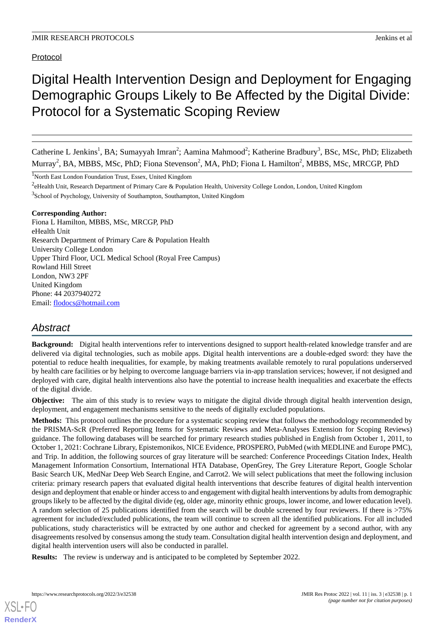# Protocol

# Digital Health Intervention Design and Deployment for Engaging Demographic Groups Likely to Be Affected by the Digital Divide: Protocol for a Systematic Scoping Review

Catherine L Jenkins<sup>1</sup>, BA; Sumayyah Imran<sup>2</sup>; Aamina Mahmood<sup>2</sup>; Katherine Bradbury<sup>3</sup>, BSc, MSc, PhD; Elizabeth Murray<sup>2</sup>, BA, MBBS, MSc, PhD; Fiona Stevenson<sup>2</sup>, MA, PhD; Fiona L Hamilton<sup>2</sup>, MBBS, MSc, MRCGP, PhD

<sup>1</sup>North East London Foundation Trust, Essex, United Kingdom

<sup>2</sup>eHealth Unit, Research Department of Primary Care & Population Health, University College London, London, United Kingdom <sup>3</sup>School of Psychology, University of Southampton, Southampton, United Kingdom

#### **Corresponding Author:**

Fiona L Hamilton, MBBS, MSc, MRCGP, PhD eHealth Unit Research Department of Primary Care & Population Health University College London Upper Third Floor, UCL Medical School (Royal Free Campus) Rowland Hill Street London, NW3 2PF United Kingdom Phone: 44 2037940272 Email: [flodocs@hotmail.com](mailto:flodocs@hotmail.com)

# *Abstract*

**Background:** Digital health interventions refer to interventions designed to support health-related knowledge transfer and are delivered via digital technologies, such as mobile apps. Digital health interventions are a double-edged sword: they have the potential to reduce health inequalities, for example, by making treatments available remotely to rural populations underserved by health care facilities or by helping to overcome language barriers via in-app translation services; however, if not designed and deployed with care, digital health interventions also have the potential to increase health inequalities and exacerbate the effects of the digital divide.

**Objective:** The aim of this study is to review ways to mitigate the digital divide through digital health intervention design, deployment, and engagement mechanisms sensitive to the needs of digitally excluded populations.

**Methods:** This protocol outlines the procedure for a systematic scoping review that follows the methodology recommended by the PRISMA-ScR (Preferred Reporting Items for Systematic Reviews and Meta-Analyses Extension for Scoping Reviews) guidance. The following databases will be searched for primary research studies published in English from October 1, 2011, to October 1, 2021: Cochrane Library, Epistemonikos, NICE Evidence, PROSPERO, PubMed (with MEDLINE and Europe PMC), and Trip. In addition, the following sources of gray literature will be searched: Conference Proceedings Citation Index, Health Management Information Consortium, International HTA Database, OpenGrey, The Grey Literature Report, Google Scholar Basic Search UK, MedNar Deep Web Search Engine, and Carrot2. We will select publications that meet the following inclusion criteria: primary research papers that evaluated digital health interventions that describe features of digital health intervention design and deployment that enable or hinder access to and engagement with digital health interventions by adults from demographic groups likely to be affected by the digital divide (eg, older age, minority ethnic groups, lower income, and lower education level). A random selection of 25 publications identified from the search will be double screened by four reviewers. If there is >75% agreement for included/excluded publications, the team will continue to screen all the identified publications. For all included publications, study characteristics will be extracted by one author and checked for agreement by a second author, with any disagreements resolved by consensus among the study team. Consultation digital health intervention design and deployment, and digital health intervention users will also be conducted in parallel.

**Results:** The review is underway and is anticipated to be completed by September 2022.

[XSL](http://www.w3.org/Style/XSL)•FO **[RenderX](http://www.renderx.com/)**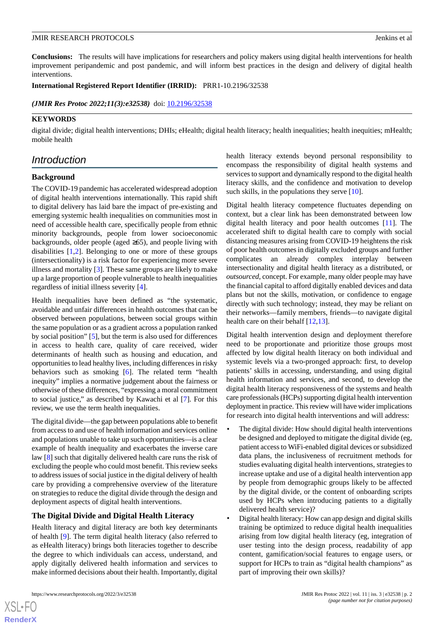**Conclusions:** The results will have implications for researchers and policy makers using digital health interventions for health improvement peripandemic and post pandemic, and will inform best practices in the design and delivery of digital health interventions.

#### **International Registered Report Identifier (IRRID):** PRR1-10.2196/32538

(JMIR Res Protoc 2022;11(3):e32538) doi: [10.2196/32538](http://dx.doi.org/10.2196/32538)

### **KEYWORDS**

digital divide; digital health interventions; DHIs; eHealth; digital health literacy; health inequalities; health inequities; mHealth; mobile health

# *Introduction*

# **Background**

The COVID-19 pandemic has accelerated widespread adoption of digital health interventions internationally. This rapid shift to digital delivery has laid bare the impact of pre-existing and emerging systemic health inequalities on communities most in need of accessible health care, specifically people from ethnic minority backgrounds, people from lower socioeconomic backgrounds, older people (aged  $\geq 65$ ), and people living with disabilities [\[1](#page-6-0),[2\]](#page-6-1). Belonging to one or more of these groups (intersectionality) is a risk factor for experiencing more severe illness and mortality [\[3](#page-6-2)]. These same groups are likely to make up a large proportion of people vulnerable to health inequalities regardless of initial illness severity [\[4](#page-6-3)].

Health inequalities have been defined as "the systematic, avoidable and unfair differences in health outcomes that can be observed between populations, between social groups within the same population or as a gradient across a population ranked by social position" [[5\]](#page-6-4), but the term is also used for differences in access to health care, quality of care received, wider determinants of health such as housing and education, and opportunities to lead healthy lives, including differences in risky behaviors such as smoking [\[6](#page-6-5)]. The related term "health inequity" implies a normative judgement about the fairness or otherwise of these differences, "expressing a moral commitment to social justice," as described by Kawachi et al [[7\]](#page-6-6). For this review, we use the term health inequalities.

The digital divide—the gap between populations able to benefit from access to and use of health information and services online and populations unable to take up such opportunities—is a clear example of health inequality and exacerbates the inverse care law [\[8\]](#page-6-7) such that digitally delivered health care runs the risk of excluding the people who could most benefit. This review seeks to address issues of social justice in the digital delivery of health care by providing a comprehensive overview of the literature on strategies to reduce the digital divide through the design and deployment aspects of digital health interventions.

# **The Digital Divide and Digital Health Literacy**

Health literacy and digital literacy are both key determinants of health [\[9\]](#page-6-8). The term digital health literacy (also referred to as eHealth literacy) brings both literacies together to describe the degree to which individuals can access, understand, and apply digitally delivered health information and services to make informed decisions about their health. Importantly, digital

 $XS$  • FO **[RenderX](http://www.renderx.com/)** health literacy extends beyond personal responsibility to encompass the responsibility of digital health systems and services to support and dynamically respond to the digital health literacy skills, and the confidence and motivation to develop such skills, in the populations they serve [\[10](#page-6-9)].

Digital health literacy competence fluctuates depending on context, but a clear link has been demonstrated between low digital health literacy and poor health outcomes [\[11](#page-6-10)]. The accelerated shift to digital health care to comply with social distancing measures arising from COVID-19 heightens the risk of poor health outcomes in digitally excluded groups and further complicates an already complex interplay between intersectionality and digital health literacy as a distributed, or *outsourced*, concept. For example, many older people may have the financial capital to afford digitally enabled devices and data plans but not the skills, motivation, or confidence to engage directly with such technology; instead, they may be reliant on their networks—family members, friends—to navigate digital health care on their behalf [[12](#page-6-11)[,13](#page-6-12)].

Digital health intervention design and deployment therefore need to be proportionate and prioritize those groups most affected by low digital health literacy on both individual and systemic levels via a two-pronged approach: first, to develop patients' skills in accessing, understanding, and using digital health information and services, and second, to develop the digital health literacy responsiveness of the systems and health care professionals (HCPs) supporting digital health intervention deployment in practice. This review will have wider implications for research into digital health interventions and will address:

- The digital divide: How should digital health interventions be designed and deployed to mitigate the digital divide (eg, patient access to WiFi-enabled digital devices or subsidized data plans, the inclusiveness of recruitment methods for studies evaluating digital health interventions, strategies to increase uptake and use of a digital health intervention app by people from demographic groups likely to be affected by the digital divide, or the content of onboarding scripts used by HCPs when introducing patients to a digitally delivered health service)?
- Digital health literacy: How can app design and digital skills training be optimized to reduce digital health inequalities arising from low digital health literacy (eg, integration of user testing into the design process, readability of app content, gamification/social features to engage users, or support for HCPs to train as "digital health champions" as part of improving their own skills)?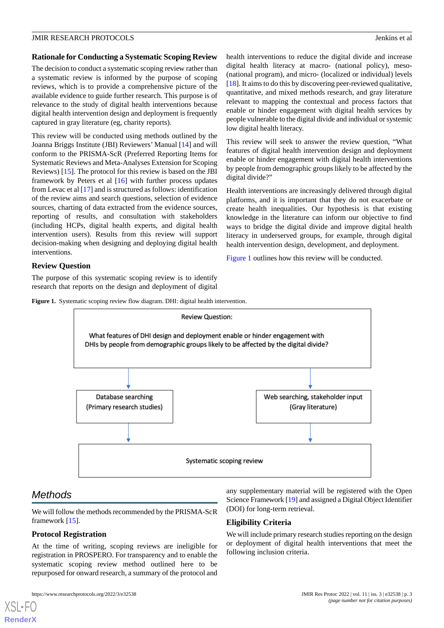#### **Rationale for Conducting a Systematic Scoping Review**

The decision to conduct a systematic scoping review rather than a systematic review is informed by the purpose of scoping reviews, which is to provide a comprehensive picture of the available evidence to guide further research. This purpose is of relevance to the study of digital health interventions because digital health intervention design and deployment is frequently captured in gray literature (eg, charity reports).

This review will be conducted using methods outlined by the Joanna Briggs Institute (JBI) Reviewers' Manual [\[14](#page-6-13)] and will conform to the PRISMA-ScR (Preferred Reporting Items for Systematic Reviews and Meta-Analyses Extension for Scoping Reviews) [\[15](#page-6-14)]. The protocol for this review is based on the JBI framework by Peters et al [\[16](#page-6-15)] with further process updates from Levac et al [[17\]](#page-6-16) and is structured as follows: identification of the review aims and search questions, selection of evidence sources, charting of data extracted from the evidence sources, reporting of results, and consultation with stakeholders (including HCPs, digital health experts, and digital health intervention users). Results from this review will support decision-making when designing and deploying digital health interventions.

health interventions to reduce the digital divide and increase digital health literacy at macro- (national policy), meso- (national program), and micro- (localized or individual) levels [[18\]](#page-6-17). It aims to do this by discovering peer-reviewed qualitative, quantitative, and mixed methods research, and gray literature relevant to mapping the contextual and process factors that enable or hinder engagement with digital health services by people vulnerable to the digital divide and individual or systemic low digital health literacy.

This review will seek to answer the review question, "What features of digital health intervention design and deployment enable or hinder engagement with digital health interventions by people from demographic groups likely to be affected by the digital divide?"

Health interventions are increasingly delivered through digital platforms, and it is important that they do not exacerbate or create health inequalities. Our hypothesis is that existing knowledge in the literature can inform our objective to find ways to bridge the digital divide and improve digital health literacy in underserved groups, for example, through digital health intervention design, development, and deployment.

[Figure 1](#page-2-0) outlines how this review will be conducted.

### <span id="page-2-0"></span>**Review Question**

The purpose of this systematic scoping review is to identify research that reports on the design and deployment of digital





# *Methods*

[XSL](http://www.w3.org/Style/XSL)•FO **[RenderX](http://www.renderx.com/)**

We will follow the methods recommended by the PRISMA-ScR framework [[15\]](#page-6-14).

# **Protocol Registration**

At the time of writing, scoping reviews are ineligible for registration in PROSPERO. For transparency and to enable the systematic scoping review method outlined here to be repurposed for onward research, a summary of the protocol and

any supplementary material will be registered with the Open Science Framework [\[19](#page-6-18)] and assigned a Digital Object Identifier (DOI) for long-term retrieval.

# **Eligibility Criteria**

We will include primary research studies reporting on the design or deployment of digital health interventions that meet the following inclusion criteria.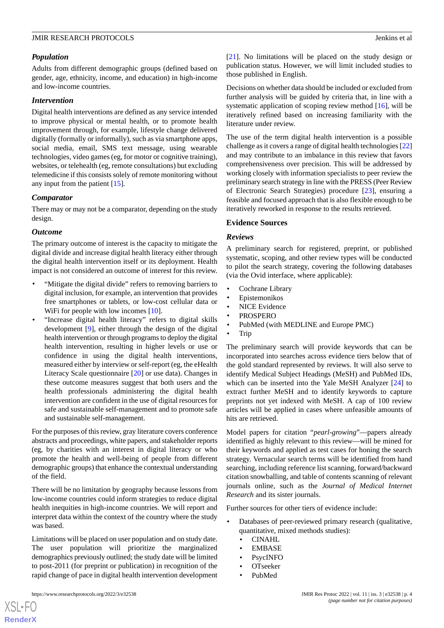### *Population*

Adults from different demographic groups (defined based on gender, age, ethnicity, income, and education) in high-income and low-income countries.

#### *Intervention*

Digital health interventions are defined as any service intended to improve physical or mental health, or to promote health improvement through, for example, lifestyle change delivered digitally (formally or informally), such as via smartphone apps, social media, email, SMS text message, using wearable technologies, video games (eg, for motor or cognitive training), websites, or telehealth (eg, remote consultations) but excluding telemedicine if this consists solely of remote monitoring without any input from the patient [\[15](#page-6-14)].

#### *Comparator*

There may or may not be a comparator, depending on the study design.

#### *Outcome*

The primary outcome of interest is the capacity to mitigate the digital divide and increase digital health literacy either through the digital health intervention itself or its deployment. Health impact is not considered an outcome of interest for this review.

- "Mitigate the digital divide" refers to removing barriers to digital inclusion, for example, an intervention that provides free smartphones or tablets, or low-cost cellular data or WiFi for people with low incomes [\[10](#page-6-9)].
- "Increase digital health literacy" refers to digital skills development [[9\]](#page-6-8), either through the design of the digital health intervention or through programs to deploy the digital health intervention, resulting in higher levels or use or confidence in using the digital health interventions, measured either by interview or self-report (eg, the eHealth Literacy Scale questionnaire [\[20](#page-6-19)] or use data). Changes in these outcome measures suggest that both users and the health professionals administering the digital health intervention are confident in the use of digital resources for safe and sustainable self-management and to promote safe and sustainable self-management.

For the purposes of this review, gray literature covers conference abstracts and proceedings, white papers, and stakeholder reports (eg, by charities with an interest in digital literacy or who promote the health and well-being of people from different demographic groups) that enhance the contextual understanding of the field.

There will be no limitation by geography because lessons from low-income countries could inform strategies to reduce digital health inequities in high-income countries. We will report and interpret data within the context of the country where the study was based.

Limitations will be placed on user population and on study date. The user population will prioritize the marginalized demographics previously outlined; the study date will be limited to post-2011 (for preprint or publication) in recognition of the rapid change of pace in digital health intervention development

[XSL](http://www.w3.org/Style/XSL)•FO **[RenderX](http://www.renderx.com/)**

[[21\]](#page-6-20). No limitations will be placed on the study design or publication status. However, we will limit included studies to those published in English.

Decisions on whether data should be included or excluded from further analysis will be guided by criteria that, in line with a systematic application of scoping review method [\[16](#page-6-15)], will be iteratively refined based on increasing familiarity with the literature under review.

The use of the term digital health intervention is a possible challenge as it covers a range of digital health technologies [\[22](#page-6-21)] and may contribute to an imbalance in this review that favors comprehensiveness over precision. This will be addressed by working closely with information specialists to peer review the preliminary search strategy in line with the PRESS (Peer Review of Electronic Search Strategies) procedure [[23\]](#page-6-22), ensuring a feasible and focused approach that is also flexible enough to be iteratively reworked in response to the results retrieved.

#### **Evidence Sources**

#### *Reviews*

A preliminary search for registered, preprint, or published systematic, scoping, and other review types will be conducted to pilot the search strategy, covering the following databases (via the Ovid interface, where applicable):

- Cochrane Library
- Epistemonikos
- NICE Evidence
- PROSPERO
- PubMed (with MEDLINE and Europe PMC)
- Trip

The preliminary search will provide keywords that can be incorporated into searches across evidence tiers below that of the gold standard represented by reviews. It will also serve to identify Medical Subject Headings (MeSH) and PubMed IDs, which can be inserted into the Yale MeSH Analyzer [[24\]](#page-6-23) to extract further MeSH and to identify keywords to capture preprints not yet indexed with MeSH. A cap of 100 review articles will be applied in cases where unfeasible amounts of hits are retrieved.

Model papers for citation "*pearl-growing*"—papers already identified as highly relevant to this review—will be mined for their keywords and applied as test cases for honing the search strategy. Vernacular search terms will be identified from hand searching, including reference list scanning, forward/backward citation snowballing, and table of contents scanning of relevant journals online, such as the *Journal of Medical Internet Research* and its sister journals.

Further sources for other tiers of evidence include:

- Databases of peer-reviewed primary research (qualitative, quantitative, mixed methods studies):
	- CINAHL
	- **EMBASE**
	- PsycINFO
	- OTseeker
	- PubMed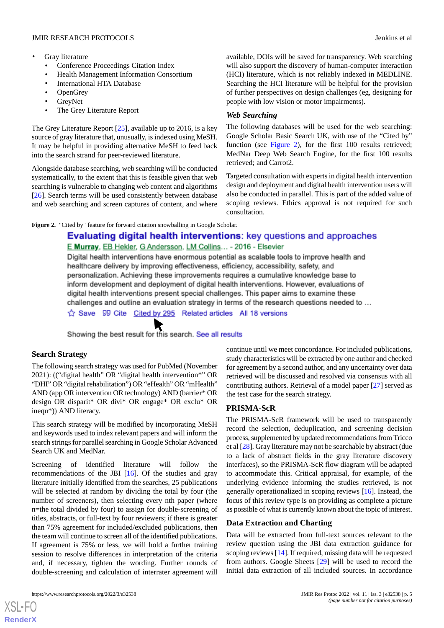- Gray literature
	- Conference Proceedings Citation Index
	- Health Management Information Consortium
	- International HTA Database
	- OpenGrey
	- GreyNet
	- The Grey Literature Report

The Grey Literature Report [[25\]](#page-6-24), available up to 2016, is a key source of gray literature that, unusually, is indexed using MeSH. It may be helpful in providing alternative MeSH to feed back into the search strand for peer-reviewed literature.

Alongside database searching, web searching will be conducted systematically, to the extent that this is feasible given that web searching is vulnerable to changing web content and algorithms [[26\]](#page-6-25). Search terms will be used consistently between database and web searching and screen captures of content, and where available, DOIs will be saved for transparency. Web searching will also support the discovery of human-computer interaction (HCI) literature, which is not reliably indexed in MEDLINE. Searching the HCI literature will be helpful for the provision of further perspectives on design challenges (eg, designing for people with low vision or motor impairments).

# *Web Searching*

The following databases will be used for the web searching: Google Scholar Basic Search UK, with use of the "Cited by" function (see [Figure 2\)](#page-4-0), for the first 100 results retrieved; MedNar Deep Web Search Engine, for the first 100 results retrieved; and Carrot2.

Targeted consultation with experts in digital health intervention design and deployment and digital health intervention users will also be conducted in parallel. This is part of the added value of scoping reviews. Ethics approval is not required for such consultation.

<span id="page-4-0"></span>Figure 2. "Cited by" feature for forward citation snowballing in Google Scholar.

# Evaluating digital health interventions: key questions and approaches E Murray, EB Hekler, G Andersson, LM Collins... - 2016 - Elsevier

Digital health interventions have enormous potential as scalable tools to improve health and healthcare delivery by improving effectiveness, efficiency, accessibility, safety, and personalization. Achieving these improvements requires a cumulative knowledge base to inform development and deployment of digital health interventions. However, evaluations of digital health interventions present special challenges. This paper aims to examine these challenges and outline an evaluation strategy in terms of the research questions needed to ...

Save 99 Cite Cited by 295 Related articles All 18 versions

Showing the best result for this search. See all results

# **Search Strategy**

The following search strategy was used for PubMed (November 2021): (("digital health" OR "digital health intervention\*" OR "DHI" OR "digital rehabilitation") OR "eHealth" OR "mHealth" AND (app OR intervention OR technology) AND (barrier\* OR design OR disparit\* OR divi\* OR engage\* OR exclu\* OR inequ\*)) AND literacy.

This search strategy will be modified by incorporating MeSH and keywords used to index relevant papers and will inform the search strings for parallel searching in Google Scholar Advanced Search UK and MedNar.

Screening of identified literature will follow the recommendations of the JBI [[16\]](#page-6-15). Of the studies and gray literature initially identified from the searches, 25 publications will be selected at random by dividing the total by four (the number of screeners), then selecting every nth paper (where n=the total divided by four) to assign for double-screening of titles, abstracts, or full-text by four reviewers; if there is greater than 75% agreement for included/excluded publications, then the team will continue to screen all of the identified publications. If agreement is 75% or less, we will hold a further training session to resolve differences in interpretation of the criteria and, if necessary, tighten the wording. Further rounds of double-screening and calculation of interrater agreement will

[XSL](http://www.w3.org/Style/XSL)•FO **[RenderX](http://www.renderx.com/)**

continue until we meet concordance. For included publications, study characteristics will be extracted by one author and checked for agreement by a second author, and any uncertainty over data retrieved will be discussed and resolved via consensus with all contributing authors. Retrieval of a model paper [\[27](#page-6-26)] served as the test case for the search strategy.

# **PRISMA-ScR**

The PRISMA-ScR framework will be used to transparently record the selection, deduplication, and screening decision process, supplemented by updated recommendations from Tricco et al [\[28](#page-7-0)]. Gray literature may not be searchable by abstract (due to a lack of abstract fields in the gray literature discovery interfaces), so the PRISMA-ScR flow diagram will be adapted to accommodate this. Critical appraisal, for example, of the underlying evidence informing the studies retrieved, is not generally operationalized in scoping reviews [\[16](#page-6-15)]. Instead, the focus of this review type is on providing as complete a picture as possible of what is currently known about the topic of interest.

# **Data Extraction and Charting**

Data will be extracted from full-text sources relevant to the review question using the JBI data extraction guidance for scoping reviews [[14\]](#page-6-13). If required, missing data will be requested from authors. Google Sheets [[29\]](#page-7-1) will be used to record the initial data extraction of all included sources. In accordance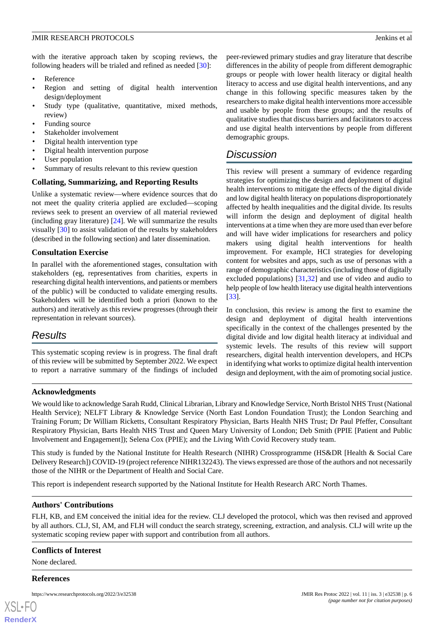with the iterative approach taken by scoping reviews, the following headers will be trialed and refined as needed [\[30](#page-7-2)]:

- **Reference**
- Region and setting of digital health intervention design/deployment
- Study type (qualitative, quantitative, mixed methods, review)
- Funding source
- Stakeholder involvement
- Digital health intervention type
- Digital health intervention purpose
- User population
- Summary of results relevant to this review question

# **Collating, Summarizing, and Reporting Results**

Unlike a systematic review—where evidence sources that do not meet the quality criteria applied are excluded—scoping reviews seek to present an overview of all material reviewed (including gray literature) [[24\]](#page-6-23). We will summarize the results visually [\[30](#page-7-2)] to assist validation of the results by stakeholders (described in the following section) and later dissemination.

# **Consultation Exercise**

In parallel with the aforementioned stages, consultation with stakeholders (eg, representatives from charities, experts in researching digital health interventions, and patients or members of the public) will be conducted to validate emerging results. Stakeholders will be identified both a priori (known to the authors) and iteratively as this review progresses (through their representation in relevant sources).

# *Results*

This systematic scoping review is in progress. The final draft of this review will be submitted by September 2022. We expect to report a narrative summary of the findings of included peer-reviewed primary studies and gray literature that describe differences in the ability of people from different demographic groups or people with lower health literacy or digital health literacy to access and use digital health interventions, and any change in this following specific measures taken by the researchers to make digital health interventions more accessible and usable by people from these groups; and the results of qualitative studies that discuss barriers and facilitators to access and use digital health interventions by people from different demographic groups.

# *Discussion*

This review will present a summary of evidence regarding strategies for optimizing the design and deployment of digital health interventions to mitigate the effects of the digital divide and low digital health literacy on populations disproportionately affected by health inequalities and the digital divide. Its results will inform the design and deployment of digital health interventions at a time when they are more used than ever before and will have wider implications for researchers and policy makers using digital health interventions for health improvement. For example, HCI strategies for developing content for websites and apps, such as use of personas with a range of demographic characteristics (including those of digitally excluded populations) [[31](#page-7-3)[,32](#page-7-4)] and use of video and audio to help people of low health literacy use digital health interventions [[33\]](#page-7-5).

In conclusion, this review is among the first to examine the design and deployment of digital health interventions specifically in the context of the challenges presented by the digital divide and low digital health literacy at individual and systemic levels. The results of this review will support researchers, digital health intervention developers, and HCPs in identifying what works to optimize digital health intervention design and deployment, with the aim of promoting social justice.

# **Acknowledgments**

We would like to acknowledge Sarah Rudd, Clinical Librarian, Library and Knowledge Service, North Bristol NHS Trust (National Health Service); NELFT Library & Knowledge Service (North East London Foundation Trust); the London Searching and Training Forum; Dr William Ricketts, Consultant Respiratory Physician, Barts Health NHS Trust; Dr Paul Pfeffer, Consultant Respiratory Physician, Barts Health NHS Trust and Queen Mary University of London; Deb Smith (PPIE [Patient and Public Involvement and Engagement]); Selena Cox (PPIE); and the Living With Covid Recovery study team.

This study is funded by the National Institute for Health Research (NIHR) Crossprogramme (HS&DR [Health & Social Care Delivery Research]) COVID-19 (project reference NIHR132243). The views expressed are those of the authors and not necessarily those of the NIHR or the Department of Health and Social Care.

This report is independent research supported by the National Institute for Health Research ARC North Thames.

# **Authors' Contributions**

FLH, KB, and EM conceived the initial idea for the review. CLJ developed the protocol, which was then revised and approved by all authors. CLJ, SI, AM, and FLH will conduct the search strategy, screening, extraction, and analysis. CLJ will write up the systematic scoping review paper with support and contribution from all authors.

#### **Conflicts of Interest**

None declared.

#### **References**

| XSL-FO         |  |
|----------------|--|
| <b>RenderX</b> |  |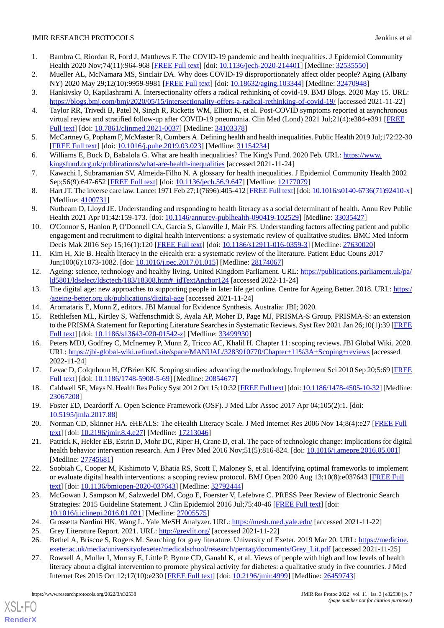- <span id="page-6-0"></span>1. Bambra C, Riordan R, Ford J, Matthews F. The COVID-19 pandemic and health inequalities. J Epidemiol Community Health 2020 Nov;74(11):964-968 [[FREE Full text](http://europepmc.org/abstract/MED/32535550)] [doi: [10.1136/jech-2020-214401\]](http://dx.doi.org/10.1136/jech-2020-214401) [Medline: [32535550\]](http://www.ncbi.nlm.nih.gov/entrez/query.fcgi?cmd=Retrieve&db=PubMed&list_uids=32535550&dopt=Abstract)
- <span id="page-6-2"></span><span id="page-6-1"></span>2. Mueller AL, McNamara MS, Sinclair DA. Why does COVID-19 disproportionately affect older people? Aging (Albany NY) 2020 May 29;12(10):9959-9981 [[FREE Full text\]](https://www.impactaging.com/full/12/9959) [doi: [10.18632/aging.103344](http://dx.doi.org/10.18632/aging.103344)] [Medline: [32470948\]](http://www.ncbi.nlm.nih.gov/entrez/query.fcgi?cmd=Retrieve&db=PubMed&list_uids=32470948&dopt=Abstract)
- <span id="page-6-3"></span>3. Hankivsky O, Kapilashrami A. Intersectionality offers a radical rethinking of covid-19. BMJ Blogs. 2020 May 15. URL: <https://blogs.bmj.com/bmj/2020/05/15/intersectionality-offers-a-radical-rethinking-of-covid-19/> [accessed 2021-11-22]
- 4. Taylor RR, Trivedi B, Patel N, Singh R, Ricketts WM, Elliott K, et al. Post-COVID symptoms reported at asynchronous virtual review and stratified follow-up after COVID-19 pneumonia. Clin Med (Lond) 2021 Jul;21(4):e384-e391 [\[FREE](http://europepmc.org/abstract/MED/34103378) [Full text\]](http://europepmc.org/abstract/MED/34103378) [doi: [10.7861/clinmed.2021-0037](http://dx.doi.org/10.7861/clinmed.2021-0037)] [Medline: [34103378](http://www.ncbi.nlm.nih.gov/entrez/query.fcgi?cmd=Retrieve&db=PubMed&list_uids=34103378&dopt=Abstract)]
- <span id="page-6-5"></span><span id="page-6-4"></span>5. McCartney G, Popham F, McMaster R, Cumbers A. Defining health and health inequalities. Public Health 2019 Jul;172:22-30 [[FREE Full text](https://linkinghub.elsevier.com/retrieve/pii/S0033-3506(19)30107-6)] [doi: [10.1016/j.puhe.2019.03.023\]](http://dx.doi.org/10.1016/j.puhe.2019.03.023) [Medline: [31154234\]](http://www.ncbi.nlm.nih.gov/entrez/query.fcgi?cmd=Retrieve&db=PubMed&list_uids=31154234&dopt=Abstract)
- <span id="page-6-6"></span>6. Williams E, Buck D, Babalola G. What are health inequalities? The King's Fund. 2020 Feb. URL: [https://www.](https://www.kingsfund.org.uk/publications/what-are-health-inequalities) [kingsfund.org.uk/publications/what-are-health-inequalities](https://www.kingsfund.org.uk/publications/what-are-health-inequalities) [accessed 2021-11-24]
- <span id="page-6-7"></span>7. Kawachi I, Subramanian SV, Almeida-Filho N. A glossary for health inequalities. J Epidemiol Community Health 2002 Sep;56(9):647-652 [[FREE Full text](https://jech.bmj.com/lookup/pmidlookup?view=long&pmid=12177079)] [doi: [10.1136/jech.56.9.647\]](http://dx.doi.org/10.1136/jech.56.9.647) [Medline: [12177079\]](http://www.ncbi.nlm.nih.gov/entrez/query.fcgi?cmd=Retrieve&db=PubMed&list_uids=12177079&dopt=Abstract)
- <span id="page-6-8"></span>8. Hart JT. The inverse care law. Lancet 1971 Feb 27;1(7696):405-412 [[FREE Full text](https://linkinghub.elsevier.com/retrieve/pii/S0140-6736(71)92410-X)] [doi: [10.1016/s0140-6736\(71\)92410-x\]](http://dx.doi.org/10.1016/s0140-6736(71)92410-x) [Medline: [4100731\]](http://www.ncbi.nlm.nih.gov/entrez/query.fcgi?cmd=Retrieve&db=PubMed&list_uids=4100731&dopt=Abstract)
- <span id="page-6-9"></span>9. Nutbeam D, Lloyd JE. Understanding and responding to health literacy as a social determinant of health. Annu Rev Public Health 2021 Apr 01;42:159-173. [doi: [10.1146/annurev-publhealth-090419-102529\]](http://dx.doi.org/10.1146/annurev-publhealth-090419-102529) [Medline: [33035427\]](http://www.ncbi.nlm.nih.gov/entrez/query.fcgi?cmd=Retrieve&db=PubMed&list_uids=33035427&dopt=Abstract)
- <span id="page-6-10"></span>10. O'Connor S, Hanlon P, O'Donnell CA, Garcia S, Glanville J, Mair FS. Understanding factors affecting patient and public engagement and recruitment to digital health interventions: a systematic review of qualitative studies. BMC Med Inform Decis Mak 2016 Sep 15;16(1):120 [[FREE Full text](https://bmcmedinformdecismak.biomedcentral.com/articles/10.1186/s12911-016-0359-3)] [doi: [10.1186/s12911-016-0359-3](http://dx.doi.org/10.1186/s12911-016-0359-3)] [Medline: [27630020](http://www.ncbi.nlm.nih.gov/entrez/query.fcgi?cmd=Retrieve&db=PubMed&list_uids=27630020&dopt=Abstract)]
- <span id="page-6-12"></span><span id="page-6-11"></span>11. Kim H, Xie B. Health literacy in the eHealth era: a systematic review of the literature. Patient Educ Couns 2017 Jun;100(6):1073-1082. [doi: [10.1016/j.pec.2017.01.015](http://dx.doi.org/10.1016/j.pec.2017.01.015)] [Medline: [28174067](http://www.ncbi.nlm.nih.gov/entrez/query.fcgi?cmd=Retrieve&db=PubMed&list_uids=28174067&dopt=Abstract)]
- <span id="page-6-13"></span>12. Ageing: science, technology and healthy living. United Kingdom Parliament. URL: [https://publications.parliament.uk/pa/](https://publications.parliament.uk/pa/ld5801/ldselect/ldsctech/183/18308.htm#_idTextAnchor124) [ld5801/ldselect/ldsctech/183/18308.htm#\\_idTextAnchor124](https://publications.parliament.uk/pa/ld5801/ldselect/ldsctech/183/18308.htm#_idTextAnchor124) [accessed 2022-11-24]
- <span id="page-6-14"></span>13. The digital age: new approaches to supporting people in later life get online. Centre for Ageing Better. 2018. URL: [https:/](https://ageing-better.org.uk/publications/digital-age) [/ageing-better.org.uk/publications/digital-age](https://ageing-better.org.uk/publications/digital-age) [accessed 2021-11-24]
- <span id="page-6-15"></span>14. Aromataris E, Munn Z, editors. JBI Manual for Evidence Synthesis. Australia: JBI; 2020.
- 15. Rethlefsen ML, Kirtley S, Waffenschmidt S, Ayala AP, Moher D, Page MJ, PRISMA-S Group. PRISMA-S: an extension to the PRISMA Statement for Reporting Literature Searches in Systematic Reviews. Syst Rev 2021 Jan 26;10(1):39 [\[FREE](https://systematicreviewsjournal.biomedcentral.com/articles/10.1186/s13643-020-01542-z) [Full text\]](https://systematicreviewsjournal.biomedcentral.com/articles/10.1186/s13643-020-01542-z) [doi: [10.1186/s13643-020-01542-z\]](http://dx.doi.org/10.1186/s13643-020-01542-z) [Medline: [33499930\]](http://www.ncbi.nlm.nih.gov/entrez/query.fcgi?cmd=Retrieve&db=PubMed&list_uids=33499930&dopt=Abstract)
- <span id="page-6-17"></span><span id="page-6-16"></span>16. Peters MDJ, Godfrey C, McInerney P, Munn Z, Tricco AC, Khalil H. Chapter 11: scoping reviews. JBI Global Wiki. 2020. URL: <https://jbi-global-wiki.refined.site/space/MANUAL/3283910770/Chapter+11%3A+Scoping+reviews> [accessed 2022-11-24]
- <span id="page-6-18"></span>17. Levac D, Colquhoun H, O'Brien KK. Scoping studies: advancing the methodology. Implement Sci 2010 Sep 20;5:69 [\[FREE](https://implementationscience.biomedcentral.com/articles/10.1186/1748-5908-5-69) [Full text\]](https://implementationscience.biomedcentral.com/articles/10.1186/1748-5908-5-69) [doi: [10.1186/1748-5908-5-69\]](http://dx.doi.org/10.1186/1748-5908-5-69) [Medline: [20854677](http://www.ncbi.nlm.nih.gov/entrez/query.fcgi?cmd=Retrieve&db=PubMed&list_uids=20854677&dopt=Abstract)]
- <span id="page-6-19"></span>18. Caldwell SE, Mays N. Health Res Policy Syst 2012 Oct 15;10:32 [\[FREE Full text](https://health-policy-systems.biomedcentral.com/articles/10.1186/1478-4505-10-32)] [doi: [10.1186/1478-4505-10-32](http://dx.doi.org/10.1186/1478-4505-10-32)] [Medline: [23067208](http://www.ncbi.nlm.nih.gov/entrez/query.fcgi?cmd=Retrieve&db=PubMed&list_uids=23067208&dopt=Abstract)]
- <span id="page-6-20"></span>19. Foster ED, Deardorff A. Open Science Framework (OSF). J Med Libr Assoc 2017 Apr 04;105(2):1. [doi: [10.5195/jmla.2017.88\]](http://dx.doi.org/10.5195/jmla.2017.88)
- <span id="page-6-21"></span>20. Norman CD, Skinner HA. eHEALS: The eHealth Literacy Scale. J Med Internet Res 2006 Nov 14;8(4):e27 [\[FREE Full](https://www.jmir.org/2006/4/e27/) [text](https://www.jmir.org/2006/4/e27/)] [doi: [10.2196/jmir.8.4.e27\]](http://dx.doi.org/10.2196/jmir.8.4.e27) [Medline: [17213046\]](http://www.ncbi.nlm.nih.gov/entrez/query.fcgi?cmd=Retrieve&db=PubMed&list_uids=17213046&dopt=Abstract)
- <span id="page-6-22"></span>21. Patrick K, Hekler EB, Estrin D, Mohr DC, Riper H, Crane D, et al. The pace of technologic change: implications for digital health behavior intervention research. Am J Prev Med 2016 Nov;51(5):816-824. [doi: [10.1016/j.amepre.2016.05.001](http://dx.doi.org/10.1016/j.amepre.2016.05.001)] [Medline: [27745681](http://www.ncbi.nlm.nih.gov/entrez/query.fcgi?cmd=Retrieve&db=PubMed&list_uids=27745681&dopt=Abstract)]
- <span id="page-6-24"></span><span id="page-6-23"></span>22. Soobiah C, Cooper M, Kishimoto V, Bhatia RS, Scott T, Maloney S, et al. Identifying optimal frameworks to implement or evaluate digital health interventions: a scoping review protocol. BMJ Open 2020 Aug 13;10(8):e037643 [[FREE Full](https://bmjopen.bmj.com/lookup/pmidlookup?view=long&pmid=32792444) [text](https://bmjopen.bmj.com/lookup/pmidlookup?view=long&pmid=32792444)] [doi: [10.1136/bmjopen-2020-037643\]](http://dx.doi.org/10.1136/bmjopen-2020-037643) [Medline: [32792444](http://www.ncbi.nlm.nih.gov/entrez/query.fcgi?cmd=Retrieve&db=PubMed&list_uids=32792444&dopt=Abstract)]
- <span id="page-6-26"></span><span id="page-6-25"></span>23. McGowan J, Sampson M, Salzwedel DM, Cogo E, Foerster V, Lefebvre C. PRESS Peer Review of Electronic Search Strategies: 2015 Guideline Statement. J Clin Epidemiol 2016 Jul;75:40-46 [[FREE Full text](https://linkinghub.elsevier.com/retrieve/pii/S0895-4356(16)00058-5)] [doi: [10.1016/j.jclinepi.2016.01.021\]](http://dx.doi.org/10.1016/j.jclinepi.2016.01.021) [Medline: [27005575](http://www.ncbi.nlm.nih.gov/entrez/query.fcgi?cmd=Retrieve&db=PubMed&list_uids=27005575&dopt=Abstract)]
- 24. Grossetta Nardini HK, Wang L. Yale MeSH Analyzer. URL:<https://mesh.med.yale.edu/> [accessed 2021-11-22]
- 25. Grey Literature Report. 2021. URL:<http://greylit.org/> [accessed 2021-11-22]
- 26. Bethel A, Briscoe S, Rogers M. Searching for grey literature. University of Exeter. 2019 Mar 20. URL: [https://medicine.](https://medicine.exeter.ac.uk/media/universityofexeter/medicalschool/research/pentag/documents/Grey_Lit.pdf) [exeter.ac.uk/media/universityofexeter/medicalschool/research/pentag/documents/Grey\\_Lit.pdf](https://medicine.exeter.ac.uk/media/universityofexeter/medicalschool/research/pentag/documents/Grey_Lit.pdf) [accessed 2021-11-25]
- 27. Rowsell A, Muller I, Murray E, Little P, Byrne CD, Ganahl K, et al. Views of people with high and low levels of health literacy about a digital intervention to promote physical activity for diabetes: a qualitative study in five countries. J Med Internet Res 2015 Oct 12;17(10):e230 [[FREE Full text\]](https://www.jmir.org/2015/10/e230/) [doi: [10.2196/jmir.4999](http://dx.doi.org/10.2196/jmir.4999)] [Medline: [26459743\]](http://www.ncbi.nlm.nih.gov/entrez/query.fcgi?cmd=Retrieve&db=PubMed&list_uids=26459743&dopt=Abstract)

[XSL](http://www.w3.org/Style/XSL)•FO **[RenderX](http://www.renderx.com/)**